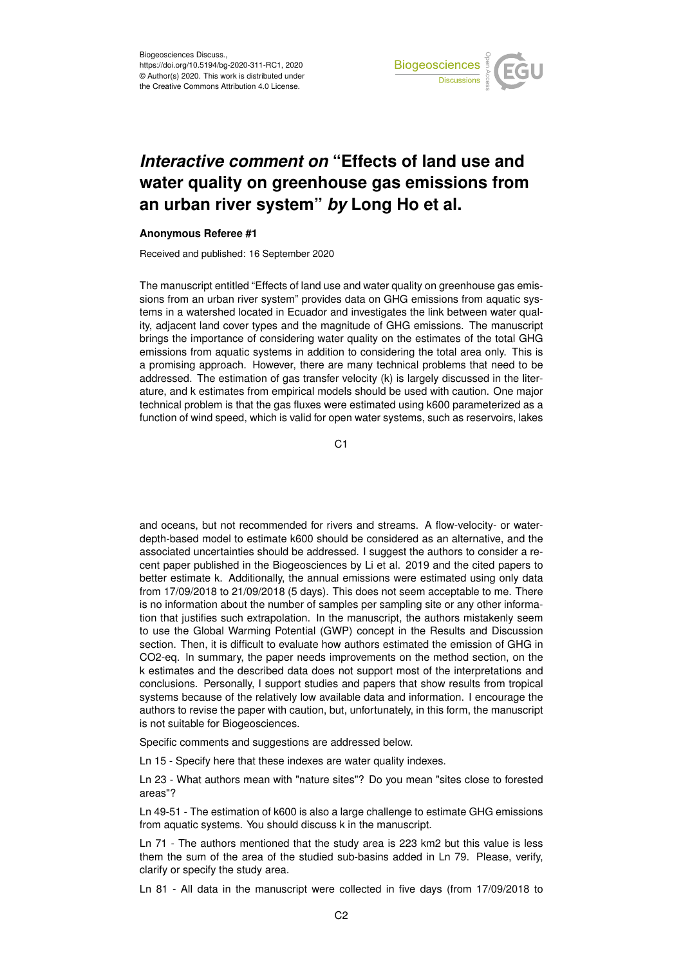

## *Interactive comment on* **"Effects of land use and water quality on greenhouse gas emissions from an urban river system"** *by* **Long Ho et al.**

## **Anonymous Referee #1**

Received and published: 16 September 2020

The manuscript entitled "Effects of land use and water quality on greenhouse gas emissions from an urban river system" provides data on GHG emissions from aquatic systems in a watershed located in Ecuador and investigates the link between water quality, adjacent land cover types and the magnitude of GHG emissions. The manuscript brings the importance of considering water quality on the estimates of the total GHG emissions from aquatic systems in addition to considering the total area only. This is a promising approach. However, there are many technical problems that need to be addressed. The estimation of gas transfer velocity (k) is largely discussed in the literature, and k estimates from empirical models should be used with caution. One major technical problem is that the gas fluxes were estimated using k600 parameterized as a function of wind speed, which is valid for open water systems, such as reservoirs, lakes

C<sub>1</sub>

and oceans, but not recommended for rivers and streams. A flow-velocity- or waterdepth-based model to estimate k600 should be considered as an alternative, and the associated uncertainties should be addressed. I suggest the authors to consider a recent paper published in the Biogeosciences by Li et al. 2019 and the cited papers to better estimate k. Additionally, the annual emissions were estimated using only data from 17/09/2018 to 21/09/2018 (5 days). This does not seem acceptable to me. There is no information about the number of samples per sampling site or any other information that justifies such extrapolation. In the manuscript, the authors mistakenly seem to use the Global Warming Potential (GWP) concept in the Results and Discussion section. Then, it is difficult to evaluate how authors estimated the emission of GHG in CO2-eq. In summary, the paper needs improvements on the method section, on the k estimates and the described data does not support most of the interpretations and conclusions. Personally, I support studies and papers that show results from tropical systems because of the relatively low available data and information. I encourage the authors to revise the paper with caution, but, unfortunately, in this form, the manuscript is not suitable for Biogeosciences.

Specific comments and suggestions are addressed below.

Ln 15 - Specify here that these indexes are water quality indexes.

Ln 23 - What authors mean with "nature sites"? Do you mean "sites close to forested areas"?

Ln 49-51 - The estimation of k600 is also a large challenge to estimate GHG emissions from aquatic systems. You should discuss k in the manuscript.

Ln 71 - The authors mentioned that the study area is 223 km2 but this value is less them the sum of the area of the studied sub-basins added in Ln 79. Please, verify, clarify or specify the study area.

Ln 81 - All data in the manuscript were collected in five days (from 17/09/2018 to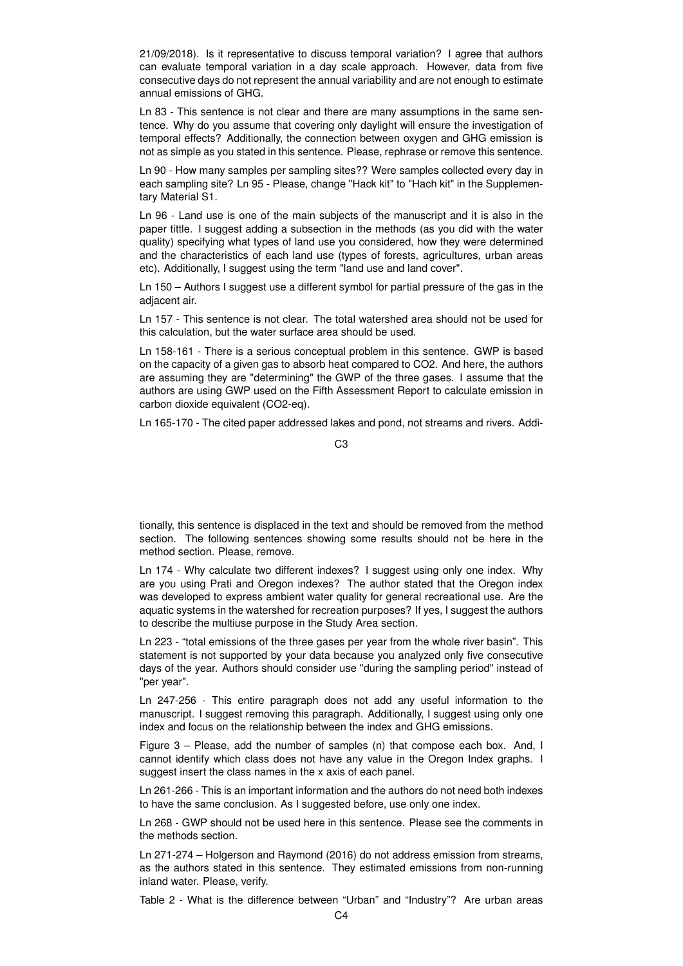21/09/2018). Is it representative to discuss temporal variation? I agree that authors can evaluate temporal variation in a day scale approach. However, data from five consecutive days do not represent the annual variability and are not enough to estimate annual emissions of GHG.

Ln 83 - This sentence is not clear and there are many assumptions in the same sentence. Why do you assume that covering only daylight will ensure the investigation of temporal effects? Additionally, the connection between oxygen and GHG emission is not as simple as you stated in this sentence. Please, rephrase or remove this sentence.

Ln 90 - How many samples per sampling sites?? Were samples collected every day in each sampling site? Ln 95 - Please, change "Hack kit" to "Hach kit" in the Supplementary Material S1.

Ln 96 - Land use is one of the main subjects of the manuscript and it is also in the paper tittle. I suggest adding a subsection in the methods (as you did with the water quality) specifying what types of land use you considered, how they were determined and the characteristics of each land use (types of forests, agricultures, urban areas etc). Additionally, I suggest using the term "land use and land cover".

Ln 150 – Authors I suggest use a different symbol for partial pressure of the gas in the adjacent air.

Ln 157 - This sentence is not clear. The total watershed area should not be used for this calculation, but the water surface area should be used.

Ln 158-161 - There is a serious conceptual problem in this sentence. GWP is based on the capacity of a given gas to absorb heat compared to CO2. And here, the authors are assuming they are "determining" the GWP of the three gases. I assume that the authors are using GWP used on the Fifth Assessment Report to calculate emission in carbon dioxide equivalent (CO2-eq).

Ln 165-170 - The cited paper addressed lakes and pond, not streams and rivers. Addi-

tionally, this sentence is displaced in the text and should be removed from the method section. The following sentences showing some results should not be here in the method section. Please, remove.

Ln 174 - Why calculate two different indexes? I suggest using only one index. Why are you using Prati and Oregon indexes? The author stated that the Oregon index was developed to express ambient water quality for general recreational use. Are the aquatic systems in the watershed for recreation purposes? If yes, I suggest the authors to describe the multiuse purpose in the Study Area section.

Ln 223 - "total emissions of the three gases per year from the whole river basin". This statement is not supported by your data because you analyzed only five consecutive days of the year. Authors should consider use "during the sampling period" instead of "per year".

Ln 247-256 - This entire paragraph does not add any useful information to the manuscript. I suggest removing this paragraph. Additionally, I suggest using only one index and focus on the relationship between the index and GHG emissions.

Figure 3 – Please, add the number of samples (n) that compose each box. And, I cannot identify which class does not have any value in the Oregon Index graphs. I suggest insert the class names in the x axis of each panel.

Ln 261-266 - This is an important information and the authors do not need both indexes to have the same conclusion. As I suggested before, use only one index.

Ln 268 - GWP should not be used here in this sentence. Please see the comments in the methods section.

Ln 271-274 – Holgerson and Raymond (2016) do not address emission from streams, as the authors stated in this sentence. They estimated emissions from non-running inland water. Please, verify.

Table 2 - What is the difference between "Urban" and "Industry"? Are urban areas

 $C<sub>3</sub>$